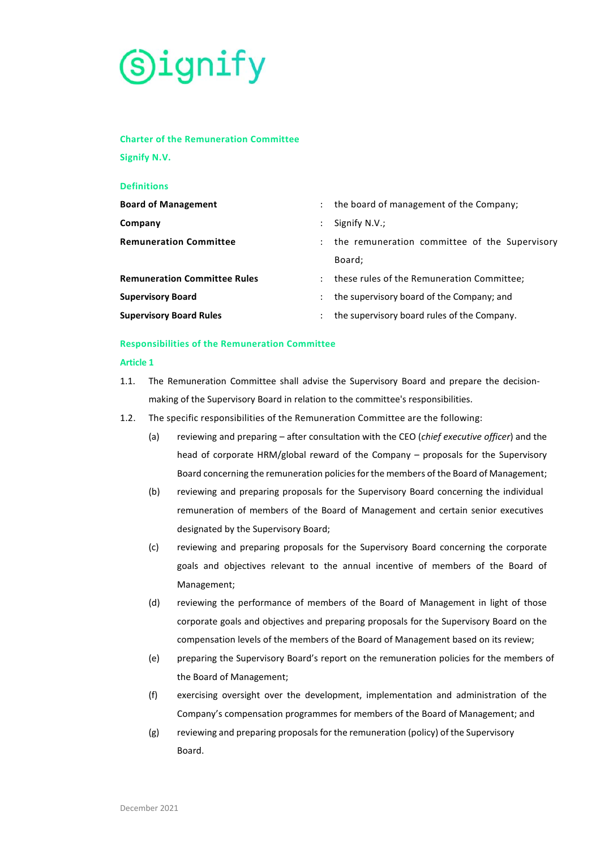

# **Charter of the Remuneration Committee**

**Signify N.V.** 

| <b>Definitions</b>                  |                      |                                               |
|-------------------------------------|----------------------|-----------------------------------------------|
| <b>Board of Management</b>          | $\ddot{\phantom{0}}$ | the board of management of the Company;       |
| Company                             |                      | Signify N.V.;                                 |
| <b>Remuneration Committee</b>       |                      | the remuneration committee of the Supervisory |
|                                     |                      | Board;                                        |
| <b>Remuneration Committee Rules</b> | $\ddot{\phantom{a}}$ | these rules of the Remuneration Committee;    |
| <b>Supervisory Board</b>            |                      | the supervisory board of the Company; and     |
| <b>Supervisory Board Rules</b>      | ÷                    | the supervisory board rules of the Company.   |

## **Responsibilities of the Remuneration Committee**

### **Article 1**

- 1.1. The Remuneration Committee shall advise the Supervisory Board and prepare the decisionmaking of the Supervisory Board in relation to the committee's responsibilities.
- 1.2. The specific responsibilities of the Remuneration Committee are the following:
	- (a) reviewing and preparing after consultation with the CEO (*chief executive officer*) and the head of corporate HRM/global reward of the Company – proposals for the Supervisory Board concerning the remuneration policies for the members of the Board of Management;
	- (b) reviewing and preparing proposals for the Supervisory Board concerning the individual remuneration of members of the Board of Management and certain senior executives designated by the Supervisory Board;
	- (c) reviewing and preparing proposals for the Supervisory Board concerning the corporate goals and objectives relevant to the annual incentive of members of the Board of Management;
	- (d) reviewing the performance of members of the Board of Management in light of those corporate goals and objectives and preparing proposals for the Supervisory Board on the compensation levels of the members of the Board of Management based on its review;
	- (e) preparing the Supervisory Board's report on the remuneration policies for the members of the Board of Management;
	- (f) exercising oversight over the development, implementation and administration of the Company's compensation programmes for members of the Board of Management; and
	- (g) reviewing and preparing proposals for the remuneration (policy) of the Supervisory Board.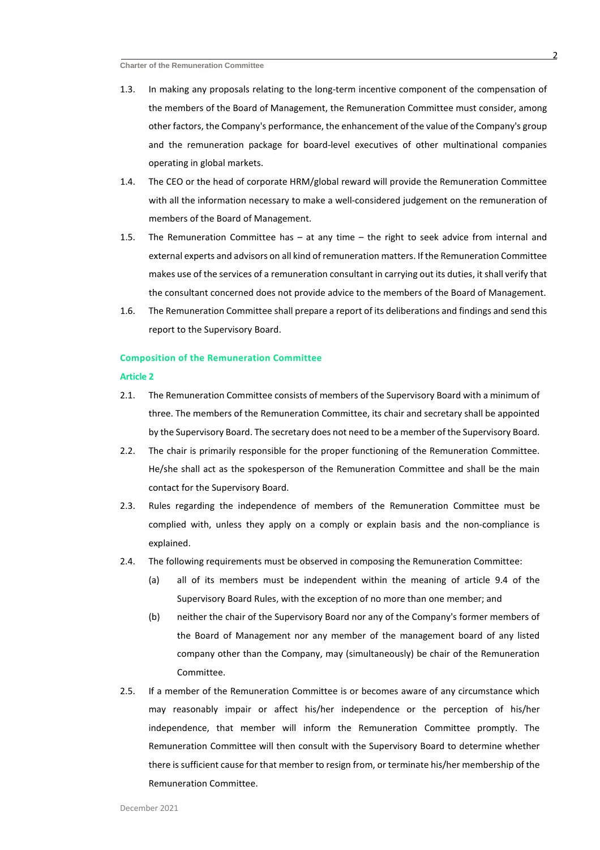- 1.3. In making any proposals relating to the long-term incentive component of the compensation of the members of the Board of Management, the Remuneration Committee must consider, among other factors, the Company's performance, the enhancement of the value of the Company's group and the remuneration package for board-level executives of other multinational companies operating in global markets.
- 1.4. The CEO or the head of corporate HRM/global reward will provide the Remuneration Committee with all the information necessary to make a well-considered judgement on the remuneration of members of the Board of Management.
- 1.5. The Remuneration Committee has at any time the right to seek advice from internal and external experts and advisors on all kind of remuneration matters. If the Remuneration Committee makes use of the services of a remuneration consultant in carrying out its duties, it shall verify that the consultant concerned does not provide advice to the members of the Board of Management.
- 1.6. The Remuneration Committee shall prepare a report of its deliberations and findings and send this report to the Supervisory Board.

#### **Composition of the Remuneration Committee**

#### **Article 2**

- 2.1. The Remuneration Committee consists of members of the Supervisory Board with a minimum of three. The members of the Remuneration Committee, its chair and secretary shall be appointed by the Supervisory Board. The secretary does not need to be a member of the Supervisory Board.
- 2.2. The chair is primarily responsible for the proper functioning of the Remuneration Committee. He/she shall act as the spokesperson of the Remuneration Committee and shall be the main contact for the Supervisory Board.
- 2.3. Rules regarding the independence of members of the Remuneration Committee must be complied with, unless they apply on a comply or explain basis and the non-compliance is explained.
- 2.4. The following requirements must be observed in composing the Remuneration Committee:
	- (a) all of its members must be independent within the meaning of article 9.4 of the Supervisory Board Rules, with the exception of no more than one member; and
	- (b) neither the chair of the Supervisory Board nor any of the Company's former members of the Board of Management nor any member of the management board of any listed company other than the Company, may (simultaneously) be chair of the Remuneration Committee.
- 2.5. If a member of the Remuneration Committee is or becomes aware of any circumstance which may reasonably impair or affect his/her independence or the perception of his/her independence, that member will inform the Remuneration Committee promptly. The Remuneration Committee will then consult with the Supervisory Board to determine whether there is sufficient cause for that member to resign from, or terminate his/her membership of the Remuneration Committee.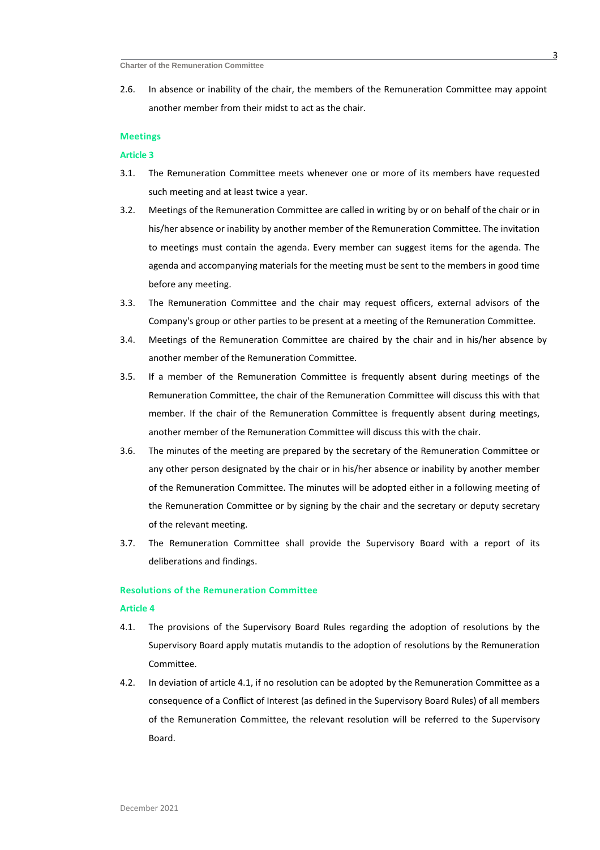2.6. In absence or inability of the chair, the members of the Remuneration Committee may appoint another member from their midst to act as the chair.

## **Meetings**

#### **Article 3**

- 3.1. The Remuneration Committee meets whenever one or more of its members have requested such meeting and at least twice a year.
- 3.2. Meetings of the Remuneration Committee are called in writing by or on behalf of the chair or in his/her absence or inability by another member of the Remuneration Committee. The invitation to meetings must contain the agenda. Every member can suggest items for the agenda. The agenda and accompanying materials for the meeting must be sent to the members in good time before any meeting.
- 3.3. The Remuneration Committee and the chair may request officers, external advisors of the Company's group or other parties to be present at a meeting of the Remuneration Committee.
- 3.4. Meetings of the Remuneration Committee are chaired by the chair and in his/her absence by another member of the Remuneration Committee.
- 3.5. If a member of the Remuneration Committee is frequently absent during meetings of the Remuneration Committee, the chair of the Remuneration Committee will discuss this with that member. If the chair of the Remuneration Committee is frequently absent during meetings, another member of the Remuneration Committee will discuss this with the chair.
- 3.6. The minutes of the meeting are prepared by the secretary of the Remuneration Committee or any other person designated by the chair or in his/her absence or inability by another member of the Remuneration Committee. The minutes will be adopted either in a following meeting of the Remuneration Committee or by signing by the chair and the secretary or deputy secretary of the relevant meeting.
- 3.7. The Remuneration Committee shall provide the Supervisory Board with a report of its deliberations and findings.

## **Resolutions of the Remuneration Committee**

#### **Article 4**

- 4.1. The provisions of the Supervisory Board Rules regarding the adoption of resolutions by the Supervisory Board apply mutatis mutandis to the adoption of resolutions by the Remuneration Committee.
- 4.2. In deviation of article 4.1, if no resolution can be adopted by the Remuneration Committee as a consequence of a Conflict of Interest (as defined in the Supervisory Board Rules) of all members of the Remuneration Committee, the relevant resolution will be referred to the Supervisory Board.